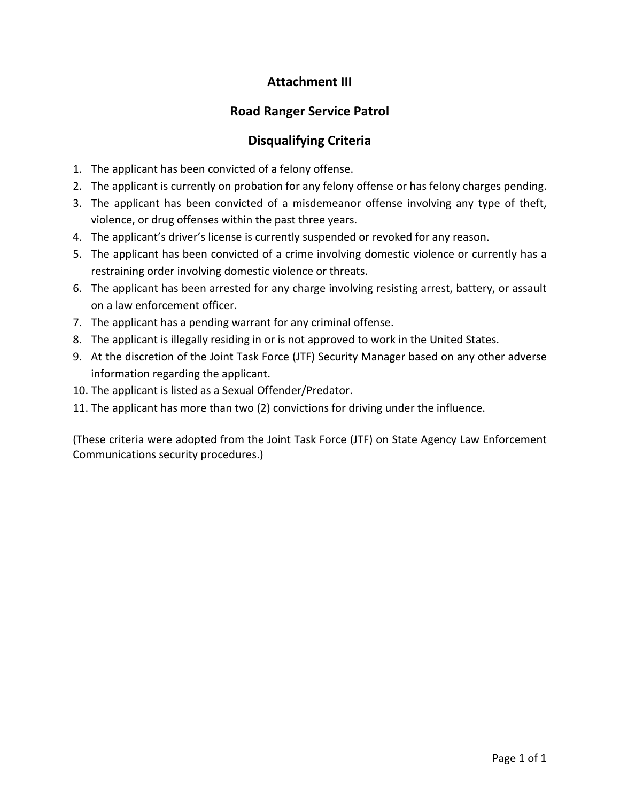# **Attachment III**

# **Road Ranger Service Patrol**

# **Disqualifying Criteria**

- 1. The applicant has been convicted of a felony offense.
- 2. The applicant is currently on probation for any felony offense or has felony charges pending.
- 3. The applicant has been convicted of a misdemeanor offense involving any type of theft, violence, or drug offenses within the past three years.
- 4. The applicant's driver's license is currently suspended or revoked for any reason.
- 5. The applicant has been convicted of a crime involving domestic violence or currently has a restraining order involving domestic violence or threats.
- 6. The applicant has been arrested for any charge involving resisting arrest, battery, or assault on a law enforcement officer.
- 7. The applicant has a pending warrant for any criminal offense.
- 8. The applicant is illegally residing in or is not approved to work in the United States.
- 9. At the discretion of the Joint Task Force (JTF) Security Manager based on any other adverse information regarding the applicant.
- 10. The applicant is listed as a Sexual Offender/Predator.
- 11. The applicant has more than two (2) convictions for driving under the influence.

(These criteria were adopted from the Joint Task Force (JTF) on State Agency Law Enforcement Communications security procedures.)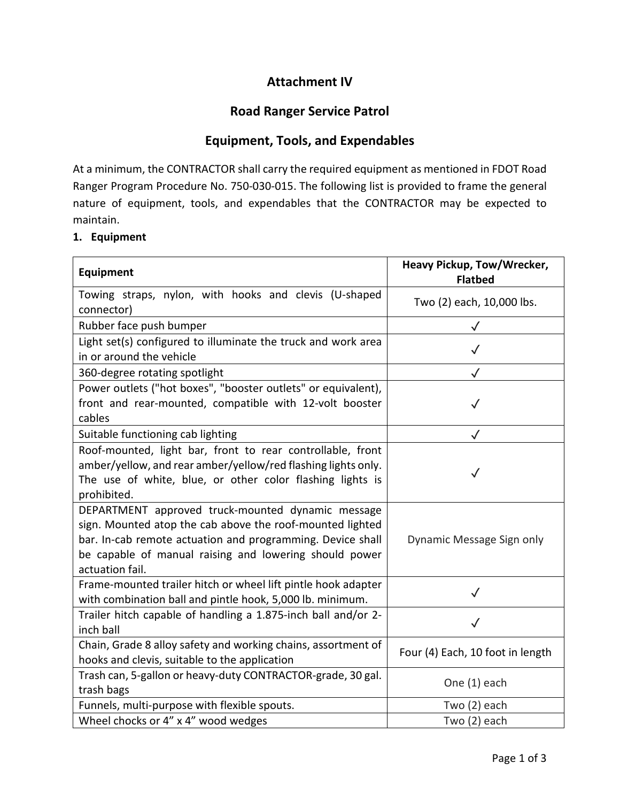# **Attachment IV**

## **Road Ranger Service Patrol**

## **Equipment, Tools, and Expendables**

At a minimum, the CONTRACTOR shall carry the required equipment as mentioned in FDOT Road Ranger Program Procedure No. 750-030-015. The following list is provided to frame the general nature of equipment, tools, and expendables that the CONTRACTOR may be expected to maintain.

## **1. Equipment**

| <b>Equipment</b>                                                                                                                                                                                                                                                                       | Heavy Pickup, Tow/Wrecker,<br><b>Flatbed</b> |  |
|----------------------------------------------------------------------------------------------------------------------------------------------------------------------------------------------------------------------------------------------------------------------------------------|----------------------------------------------|--|
| Towing straps, nylon, with hooks and clevis (U-shaped<br>connector)                                                                                                                                                                                                                    | Two (2) each, 10,000 lbs.                    |  |
| Rubber face push bumper                                                                                                                                                                                                                                                                |                                              |  |
| Light set(s) configured to illuminate the truck and work area<br>in or around the vehicle                                                                                                                                                                                              |                                              |  |
| 360-degree rotating spotlight                                                                                                                                                                                                                                                          | $\checkmark$                                 |  |
| Power outlets ("hot boxes", "booster outlets" or equivalent),<br>front and rear-mounted, compatible with 12-volt booster<br>cables                                                                                                                                                     | $\checkmark$                                 |  |
| Suitable functioning cab lighting                                                                                                                                                                                                                                                      | $\checkmark$                                 |  |
| Roof-mounted, light bar, front to rear controllable, front<br>amber/yellow, and rear amber/yellow/red flashing lights only.<br>The use of white, blue, or other color flashing lights is<br>prohibited.                                                                                | $\checkmark$                                 |  |
| DEPARTMENT approved truck-mounted dynamic message<br>sign. Mounted atop the cab above the roof-mounted lighted<br>bar. In-cab remote actuation and programming. Device shall<br>Dynamic Message Sign only<br>be capable of manual raising and lowering should power<br>actuation fail. |                                              |  |
| Frame-mounted trailer hitch or wheel lift pintle hook adapter<br>with combination ball and pintle hook, 5,000 lb. minimum.                                                                                                                                                             |                                              |  |
| Trailer hitch capable of handling a 1.875-inch ball and/or 2-<br>inch ball                                                                                                                                                                                                             |                                              |  |
| Chain, Grade 8 alloy safety and working chains, assortment of<br>hooks and clevis, suitable to the application                                                                                                                                                                         | Four (4) Each, 10 foot in length             |  |
| Trash can, 5-gallon or heavy-duty CONTRACTOR-grade, 30 gal.<br>trash bags                                                                                                                                                                                                              | One (1) each                                 |  |
| Funnels, multi-purpose with flexible spouts.                                                                                                                                                                                                                                           | Two (2) each                                 |  |
| Wheel chocks or 4" x 4" wood wedges                                                                                                                                                                                                                                                    | Two (2) each                                 |  |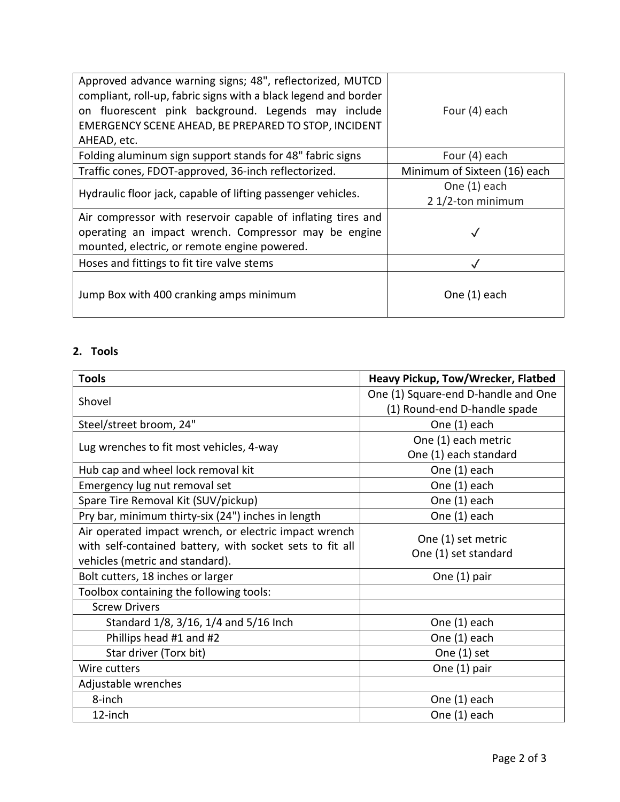| Approved advance warning signs; 48", reflectorized, MUTCD<br>compliant, roll-up, fabric signs with a black legend and border<br>on fluorescent pink background. Legends may include<br>EMERGENCY SCENE AHEAD, BE PREPARED TO STOP, INCIDENT<br>AHEAD, etc. | Four (4) each                     |
|------------------------------------------------------------------------------------------------------------------------------------------------------------------------------------------------------------------------------------------------------------|-----------------------------------|
| Folding aluminum sign support stands for 48" fabric signs                                                                                                                                                                                                  | Four (4) each                     |
| Traffic cones, FDOT-approved, 36-inch reflectorized.                                                                                                                                                                                                       | Minimum of Sixteen (16) each      |
| Hydraulic floor jack, capable of lifting passenger vehicles.                                                                                                                                                                                               | One (1) each<br>2 1/2-ton minimum |
| Air compressor with reservoir capable of inflating tires and<br>operating an impact wrench. Compressor may be engine<br>mounted, electric, or remote engine powered.                                                                                       |                                   |
| Hoses and fittings to fit tire valve stems                                                                                                                                                                                                                 |                                   |
| Jump Box with 400 cranking amps minimum                                                                                                                                                                                                                    | One (1) each                      |

## **2. Tools**

| <b>Tools</b>                                             | Heavy Pickup, Tow/Wrecker, Flatbed  |
|----------------------------------------------------------|-------------------------------------|
| Shovel                                                   | One (1) Square-end D-handle and One |
|                                                          | (1) Round-end D-handle spade        |
| Steel/street broom, 24"                                  | One (1) each                        |
| Lug wrenches to fit most vehicles, 4-way                 | One (1) each metric                 |
|                                                          | One (1) each standard               |
| Hub cap and wheel lock removal kit                       | One (1) each                        |
| Emergency lug nut removal set                            | One (1) each                        |
| Spare Tire Removal Kit (SUV/pickup)                      | One (1) each                        |
| Pry bar, minimum thirty-six (24") inches in length       | One (1) each                        |
| Air operated impact wrench, or electric impact wrench    | One (1) set metric                  |
| with self-contained battery, with socket sets to fit all | One (1) set standard                |
| vehicles (metric and standard).                          |                                     |
| Bolt cutters, 18 inches or larger                        | One (1) pair                        |
| Toolbox containing the following tools:                  |                                     |
| <b>Screw Drivers</b>                                     |                                     |
| Standard 1/8, 3/16, 1/4 and 5/16 Inch                    | One (1) each                        |
| Phillips head #1 and #2                                  | One (1) each                        |
| Star driver (Torx bit)                                   | One (1) set                         |
| Wire cutters                                             | One (1) pair                        |
| Adjustable wrenches                                      |                                     |
| 8-inch                                                   | One (1) each                        |
| 12-inch                                                  | One (1) each                        |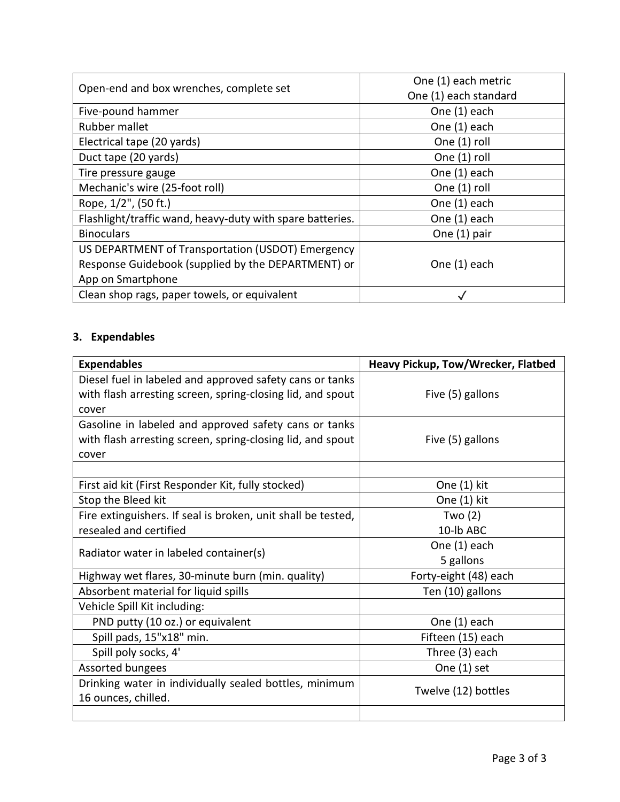| Open-end and box wrenches, complete set                   | One (1) each metric   |
|-----------------------------------------------------------|-----------------------|
|                                                           | One (1) each standard |
| Five-pound hammer                                         | One (1) each          |
| Rubber mallet                                             | One (1) each          |
| Electrical tape (20 yards)                                | One (1) roll          |
| Duct tape (20 yards)                                      | One (1) roll          |
| Tire pressure gauge                                       | One (1) each          |
| Mechanic's wire (25-foot roll)                            | One (1) roll          |
| Rope, 1/2", (50 ft.)                                      | One (1) each          |
| Flashlight/traffic wand, heavy-duty with spare batteries. | One (1) each          |
| <b>Binoculars</b><br>One (1) pair                         |                       |
| US DEPARTMENT of Transportation (USDOT) Emergency         |                       |
| Response Guidebook (supplied by the DEPARTMENT) or        | One (1) each          |
| App on Smartphone                                         |                       |
| Clean shop rags, paper towels, or equivalent              |                       |

# **3. Expendables**

| <b>Expendables</b>                                           | Heavy Pickup, Tow/Wrecker, Flatbed |  |
|--------------------------------------------------------------|------------------------------------|--|
| Diesel fuel in labeled and approved safety cans or tanks     |                                    |  |
| with flash arresting screen, spring-closing lid, and spout   | Five (5) gallons                   |  |
| cover                                                        |                                    |  |
| Gasoline in labeled and approved safety cans or tanks        |                                    |  |
| with flash arresting screen, spring-closing lid, and spout   | Five (5) gallons                   |  |
| cover                                                        |                                    |  |
|                                                              |                                    |  |
| First aid kit (First Responder Kit, fully stocked)           | One (1) kit                        |  |
| Stop the Bleed kit                                           | One (1) kit                        |  |
| Fire extinguishers. If seal is broken, unit shall be tested, | Two $(2)$                          |  |
| resealed and certified                                       | 10-lb ABC                          |  |
|                                                              | One (1) each                       |  |
| Radiator water in labeled container(s)                       | 5 gallons                          |  |
| Highway wet flares, 30-minute burn (min. quality)            | Forty-eight (48) each              |  |
| Absorbent material for liquid spills                         | Ten (10) gallons                   |  |
| Vehicle Spill Kit including:                                 |                                    |  |
| PND putty (10 oz.) or equivalent                             | One (1) each                       |  |
| Spill pads, 15"x18" min.                                     | Fifteen (15) each                  |  |
| Spill poly socks, 4'                                         | Three (3) each                     |  |
| Assorted bungees                                             | One $(1)$ set                      |  |
| Drinking water in individually sealed bottles, minimum       | Twelve (12) bottles                |  |
| 16 ounces, chilled.                                          |                                    |  |
|                                                              |                                    |  |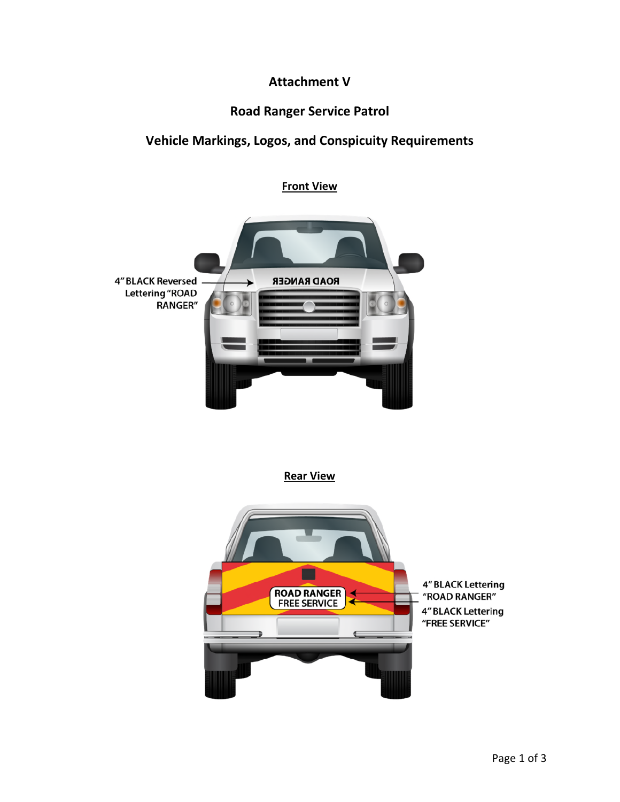# **Attachment V**

## **Road Ranger Service Patrol**

# **Vehicle Markings, Logos, and Conspicuity Requirements**

**Front View** 



**Rear View** 

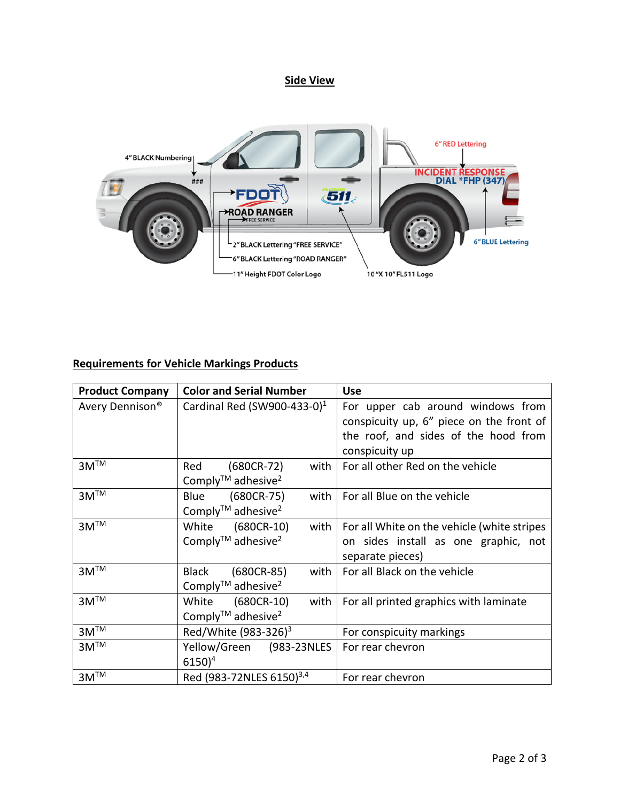#### **Side View**



## **Requirements for Vehicle Markings Products**

| <b>Product Company</b>      | <b>Color and Serial Number</b>                                           | <b>Use</b>                                                                                              |
|-----------------------------|--------------------------------------------------------------------------|---------------------------------------------------------------------------------------------------------|
| Avery Dennison <sup>®</sup> | Cardinal Red (SW900-433-0) $1$                                           | For upper cab around windows from<br>conspicuity up, 6" piece on the front of                           |
|                             |                                                                          | the roof, and sides of the hood from<br>conspicuity up                                                  |
| $3M^{TM}$                   | $(680CR-72)$<br>with<br>Red<br>Comply <sup>™</sup> adhesive <sup>2</sup> | For all other Red on the vehicle                                                                        |
| $3M^{TM}$                   | (680CR-75)<br>with<br>Blue<br>Comply <sup>TM</sup> adhesive <sup>2</sup> | For all Blue on the vehicle                                                                             |
| $3M^{\overline{IM}}$        | White (680CR-10)<br>with<br>Comply <sup>TM</sup> adhesive <sup>2</sup>   | For all White on the vehicle (white stripes<br>on sides install as one graphic, not<br>separate pieces) |
| $3M^{TM}$                   | with<br>Black<br>(680CR-85)<br>Comply™ adhesive <sup>2</sup>             | For all Black on the vehicle                                                                            |
| $3M^{TM}$                   | White (680CR-10)<br>with<br>Comply <sup>TM</sup> adhesive <sup>2</sup>   | For all printed graphics with laminate                                                                  |
| $3M^{TM}$                   | Red/White (983-326) <sup>3</sup>                                         | For conspicuity markings                                                                                |
| $3M^{TM}$                   | Yellow/Green (983-23NLES<br>$6150)^4$                                    | For rear chevron                                                                                        |
| $3M^{TM}$                   | Red (983-72NLES 6150) <sup>3,4</sup>                                     | For rear chevron                                                                                        |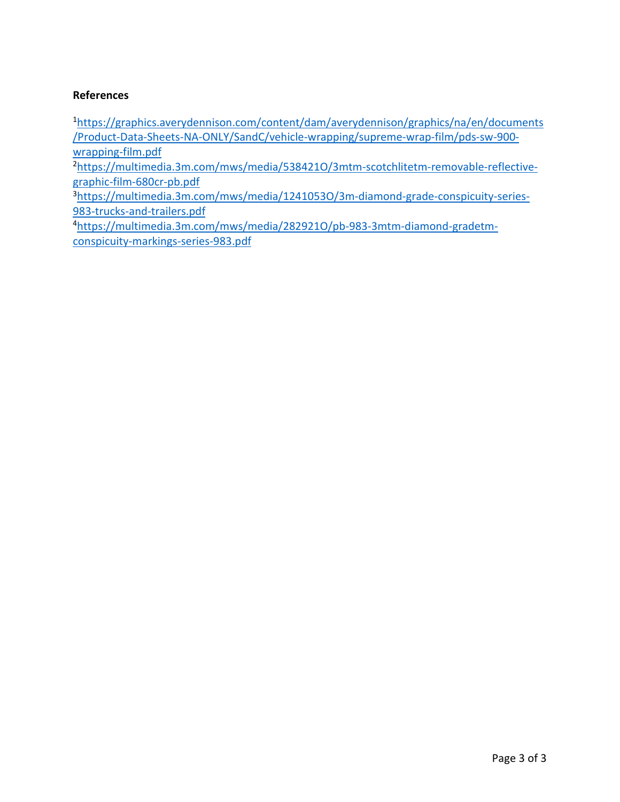#### **References**

<sup>1</sup>[https://graphics.averydennison.com/content/dam/averydennison/graphics/na/en/documents](https://graphics.averydennison.com/content/dam/averydennison/graphics/na/en/documents/Product-Data-Sheets-NA-ONLY/SandC/vehicle-wrapping/supreme-wrap-film/pds-sw-900-wrapping-film.pdf) [/Product-Data-Sheets-NA-ONLY/SandC/vehicle-wrapping/supreme-wrap-film/pds-sw-900](https://graphics.averydennison.com/content/dam/averydennison/graphics/na/en/documents/Product-Data-Sheets-NA-ONLY/SandC/vehicle-wrapping/supreme-wrap-film/pds-sw-900-wrapping-film.pdf) [wrapping-film.pdf](https://graphics.averydennison.com/content/dam/averydennison/graphics/na/en/documents/Product-Data-Sheets-NA-ONLY/SandC/vehicle-wrapping/supreme-wrap-film/pds-sw-900-wrapping-film.pdf)

2[https://multimedia.3m.com/mws/media/538421O/3mtm-scotchlitetm-removable-reflective](https://multimedia.3m.com/mws/media/538421O/3mtm-scotchlitetm-removable-reflective-graphic-film-680cr-pb.pdf)[graphic-film-680cr-pb.pdf](https://multimedia.3m.com/mws/media/538421O/3mtm-scotchlitetm-removable-reflective-graphic-film-680cr-pb.pdf)

3[https://multimedia.3m.com/mws/media/1241053O/3m-diamond-grade-conspicuity-series-](https://multimedia.3m.com/mws/media/1241053O/3m-diamond-grade-conspicuity-series-983-trucks-and-trailers.pdf)[983-trucks-and-trailers.pdf](https://multimedia.3m.com/mws/media/1241053O/3m-diamond-grade-conspicuity-series-983-trucks-and-trailers.pdf)

4[https://multimedia.3m.com/mws/media/282921O/pb-983-3mtm-diamond-gradetm](https://multimedia.3m.com/mws/media/282921O/pb-983-3mtm-diamond-gradetm-conspicuity-markings-series-983.pdf)[conspicuity-markings-series-983.pdf](https://multimedia.3m.com/mws/media/282921O/pb-983-3mtm-diamond-gradetm-conspicuity-markings-series-983.pdf)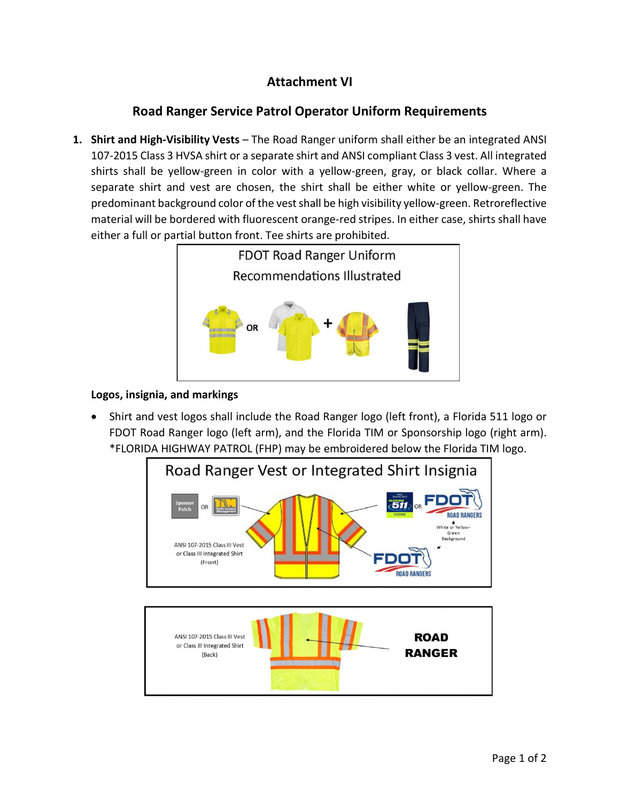# **Attachment VI**

# **Road Ranger Service Patrol Operator Uniform Requirements**

**1. Shirt and High-Visibility Vests** – The Road Ranger uniform shall either be an integrated ANSI 107-2015 Class 3 HVSA shirt or a separate shirt and ANSI compliant Class 3 vest. All integrated shirts shall be yellow-green in color with a yellow-green, gray, or black collar. Where a separate shirt and vest are chosen, the shirt shall be either white or yellow-green. The predominant background color of the vest shall be high visibility yellow-green. Retroreflective material will be bordered with fluorescent orange-red stripes. In either case, shirts shall have either a full or partial button front. Tee shirts are prohibited.



#### **Logos, insignia, and markings**

 Shirt and vest logos shall include the Road Ranger logo (left front), a Florida 511 logo or FDOT Road Ranger logo (left arm), and the Florida TIM or Sponsorship logo (right arm). \*FLORIDA HIGHWAY PATROL (FHP) may be embroidered below the Florida TIM logo.

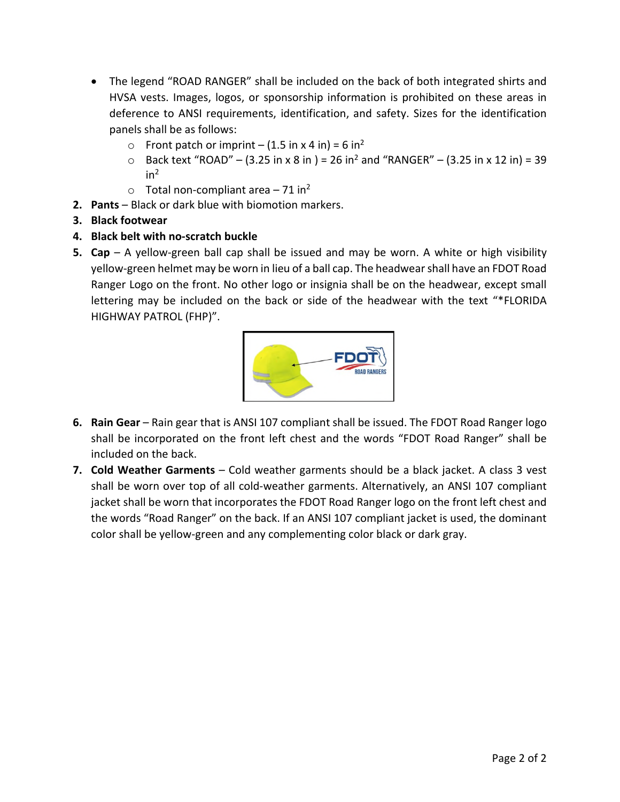- The legend "ROAD RANGER" shall be included on the back of both integrated shirts and HVSA vests. Images, logos, or sponsorship information is prohibited on these areas in deference to ANSI requirements, identification, and safety. Sizes for the identification panels shall be as follows:
	- o Front patch or imprint  $(1.5 \text{ in } x 4 \text{ in}) = 6 \text{ in}^2$
	- Back text "ROAD" (3.25 in x 8 in ) = 26 in<sup>2</sup> and "RANGER" (3.25 in x 12 in) = 39  $in<sup>2</sup>$
	- $\circ$  Total non-compliant area 71 in<sup>2</sup>
- **2. Pants** Black or dark blue with biomotion markers.
- **3. Black footwear**
- **4. Black belt with no-scratch buckle**
- **5. Cap** A yellow-green ball cap shall be issued and may be worn. A white or high visibility yellow-green helmet may be worn in lieu of a ball cap. The headwear shall have an FDOT Road Ranger Logo on the front. No other logo or insignia shall be on the headwear, except small lettering may be included on the back or side of the headwear with the text "\*FLORIDA HIGHWAY PATROL (FHP)".



- **6. Rain Gear** Rain gear that is ANSI 107 compliant shall be issued. The FDOT Road Ranger logo shall be incorporated on the front left chest and the words "FDOT Road Ranger" shall be included on the back.
- **7. Cold Weather Garments** Cold weather garments should be a black jacket. A class 3 vest shall be worn over top of all cold-weather garments. Alternatively, an ANSI 107 compliant jacket shall be worn that incorporates the FDOT Road Ranger logo on the front left chest and the words "Road Ranger" on the back. If an ANSI 107 compliant jacket is used, the dominant color shall be yellow-green and any complementing color black or dark gray.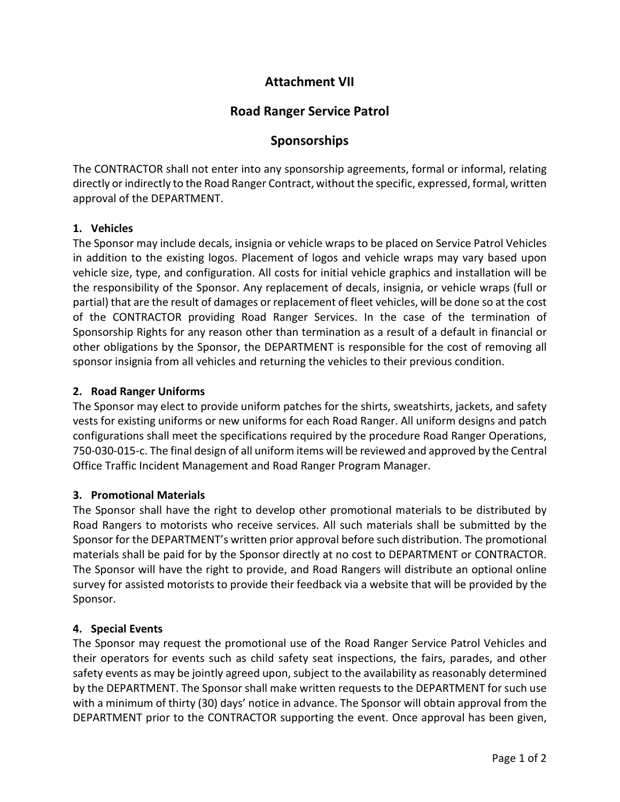## **Attachment VII**

## **Road Ranger Service Patrol**

## **Sponsorships**

The CONTRACTOR shall not enter into any sponsorship agreements, formal or informal, relating directly or indirectly to the Road Ranger Contract, without the specific, expressed, formal, written approval of the DEPARTMENT.

#### **1. Vehicles**

The Sponsor may include decals, insignia or vehicle wraps to be placed on Service Patrol Vehicles in addition to the existing logos. Placement of logos and vehicle wraps may vary based upon vehicle size, type, and configuration. All costs for initial vehicle graphics and installation will be the responsibility of the Sponsor. Any replacement of decals, insignia, or vehicle wraps (full or partial) that are the result of damages or replacement of fleet vehicles, will be done so at the cost of the CONTRACTOR providing Road Ranger Services. In the case of the termination of Sponsorship Rights for any reason other than termination as a result of a default in financial or other obligations by the Sponsor, the DEPARTMENT is responsible for the cost of removing all sponsor insignia from all vehicles and returning the vehicles to their previous condition.

#### **2. Road Ranger Uniforms**

The Sponsor may elect to provide uniform patches for the shirts, sweatshirts, jackets, and safety vests for existing uniforms or new uniforms for each Road Ranger. All uniform designs and patch configurations shall meet the specifications required by the procedure Road Ranger Operations, 750-030-015-c. The final design of all uniform items will be reviewed and approved by the Central Office Traffic Incident Management and Road Ranger Program Manager.

#### **3. Promotional Materials**

The Sponsor shall have the right to develop other promotional materials to be distributed by Road Rangers to motorists who receive services. All such materials shall be submitted by the Sponsor for the DEPARTMENT's written prior approval before such distribution. The promotional materials shall be paid for by the Sponsor directly at no cost to DEPARTMENT or CONTRACTOR. The Sponsor will have the right to provide, and Road Rangers will distribute an optional online survey for assisted motorists to provide their feedback via a website that will be provided by the Sponsor.

## **4. Special Events**

The Sponsor may request the promotional use of the Road Ranger Service Patrol Vehicles and their operators for events such as child safety seat inspections, the fairs, parades, and other safety events as may be jointly agreed upon, subject to the availability as reasonably determined by the DEPARTMENT. The Sponsor shall make written requests to the DEPARTMENT for such use with a minimum of thirty (30) days' notice in advance. The Sponsor will obtain approval from the DEPARTMENT prior to the CONTRACTOR supporting the event. Once approval has been given,